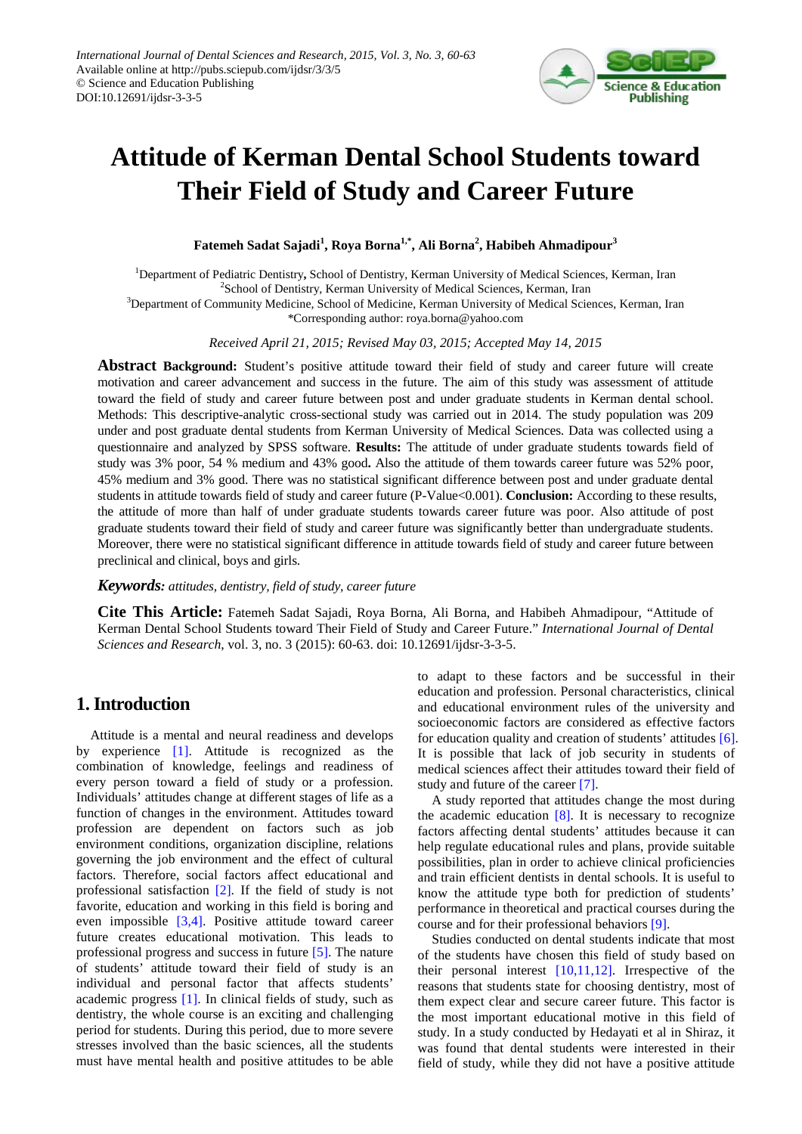

# **Attitude of Kerman Dental School Students toward Their Field of Study and Career Future**

**Fatemeh Sadat Sajadi<sup>1</sup> , Roya Borna1,\* , Ali Borna<sup>2</sup> , Habibeh Ahmadipour<sup>3</sup>**

1 Department of Pediatric Dentistry**,** School of Dentistry, Kerman University of Medical Sciences, Kerman, Iran <sup>2</sup>School of Dentistry, Kerman University of Medical Sciences, Kerman, Iran <sup>3</sup>Department of Community Medicine, School of Medicine, Kerman University of Medical Sciences, Kerman, Iran \*Corresponding author: roya.borna@yahoo.com

*Received April 21, 2015; Revised May 03, 2015; Accepted May 14, 2015*

**Abstract Background:** Student's positive attitude toward their field of study and career future will create motivation and career advancement and success in the future. The aim of this study was assessment of attitude toward the field of study and career future between post and under graduate students in Kerman dental school. Methods: This descriptive-analytic cross-sectional study was carried out in 2014. The study population was 209 under and post graduate dental students from Kerman University of Medical Sciences. Data was collected using a questionnaire and analyzed by SPSS software. **Results:** The attitude of under graduate students towards field of study was 3% poor, 54 % medium and 43% good**.** Also the attitude of them towards career future was 52% poor, 45% medium and 3% good. There was no statistical significant difference between post and under graduate dental students in attitude towards field of study and career future (P-Value < 0.001). **Conclusion:** According to these results, the attitude of more than half of under graduate students towards career future was poor. Also attitude of post graduate students toward their field of study and career future was significantly better than undergraduate students. Moreover, there were no statistical significant difference in attitude towards field of study and career future between preclinical and clinical, boys and girls.

*Keywords: attitudes, dentistry, field of study, career future*

**Cite This Article:** Fatemeh Sadat Sajadi, Roya Borna, Ali Borna, and Habibeh Ahmadipour, "Attitude of Kerman Dental School Students toward Their Field of Study and Career Future." *International Journal of Dental Sciences and Research*, vol. 3, no. 3 (2015): 60-63. doi: 10.12691/ijdsr-3-3-5.

## **1. Introduction**

Attitude is a mental and neural readiness and develops by experience [\[1\].](#page-3-0) Attitude is recognized as the combination of knowledge, feelings and readiness of every person toward a field of study or a profession. Individuals' attitudes change at different stages of life as a function of changes in the environment. Attitudes toward profession are dependent on factors such as job environment conditions, organization discipline, relations governing the job environment and the effect of cultural factors. Therefore, social factors affect educational and professional satisfaction [\[2\].](#page-3-1) If the field of study is not favorite, education and working in this field is boring and even impossible [\[3,4\].](#page-3-2) Positive attitude toward career future creates educational motivation. This leads to professional progress and success in future [\[5\].](#page-3-3) The nature of students' attitude toward their field of study is an individual and personal factor that affects students' academic progress [\[1\].](#page-3-0) In clinical fields of study, such as dentistry, the whole course is an exciting and challenging period for students. During this period, due to more severe stresses involved than the basic sciences, all the students must have mental health and positive attitudes to be able to adapt to these factors and be successful in their education and profession. Personal characteristics, clinical and educational environment rules of the university and socioeconomic factors are considered as effective factors for education quality and creation of students' attitudes [\[6\].](#page-3-4) It is possible that lack of job security in students of medical sciences affect their attitudes toward their field of study and future of the career [\[7\].](#page-3-5)

A study reported that attitudes change the most during the academic education  $[8]$ . It is necessary to recognize factors affecting dental students' attitudes because it can help regulate educational rules and plans, provide suitable possibilities, plan in order to achieve clinical proficiencies and train efficient dentists in dental schools. It is useful to know the attitude type both for prediction of students' performance in theoretical and practical courses during the course and for their professional behaviors [\[9\].](#page-3-7)

Studies conducted on dental students indicate that most of the students have chosen this field of study based on their personal interest  $[10,11,12]$ . Irrespective of the reasons that students state for choosing dentistry, most of them expect clear and secure career future. This factor is the most important educational motive in this field of study. In a study conducted by Hedayati et al in Shiraz, it was found that dental students were interested in their field of study, while they did not have a positive attitude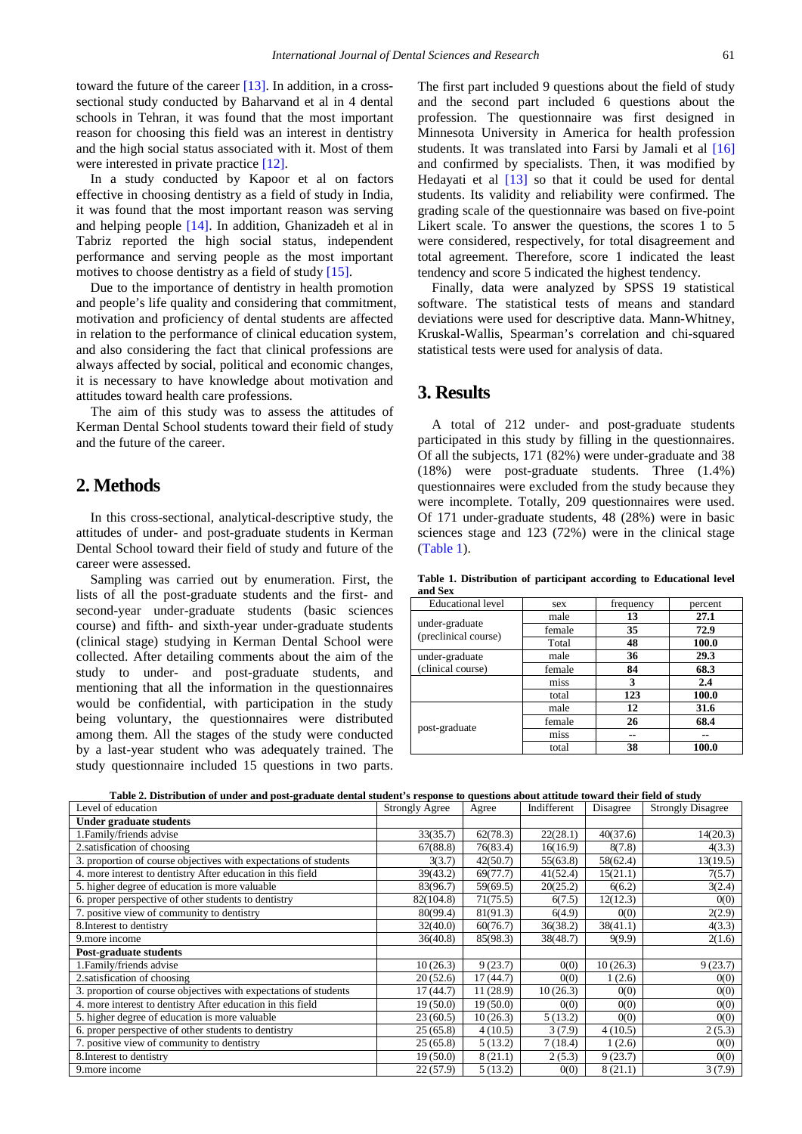toward the future of the caree[r \[13\].](#page-3-9) In addition, in a crosssectional study conducted by Baharvand et al in 4 dental schools in Tehran, it was found that the most important reason for choosing this field was an interest in dentistry and the high social status associated with it. Most of them were interested in private practice [12].

In a study conducted by Kapoor et al on factors effective in choosing dentistry as a field of study in India, it was found that the most important reason was serving and helping people [\[14\].](#page-3-11) In addition, Ghanizadeh et al in Tabriz reported the high social status, independent performance and serving people as the most important motives to choose dentistry as a field of stud[y \[15\].](#page-3-12)

Due to the importance of dentistry in health promotion and people's life quality and considering that commitment, motivation and proficiency of dental students are affected in relation to the performance of clinical education system, and also considering the fact that clinical professions are always affected by social, political and economic changes, it is necessary to have knowledge about motivation and attitudes toward health care professions.

The aim of this study was to assess the attitudes of Kerman Dental School students toward their field of study and the future of the career.

#### **2. Methods**

In this cross-sectional, analytical-descriptive study, the attitudes of under- and post-graduate students in Kerman Dental School toward their field of study and future of the career were assessed.

Sampling was carried out by enumeration. First, the lists of all the post-graduate students and the first- and second-year under-graduate students (basic sciences course) and fifth- and sixth-year under-graduate students (clinical stage) studying in Kerman Dental School were collected. After detailing comments about the aim of the study to under- and post-graduate students, and mentioning that all the information in the questionnaires would be confidential, with participation in the study being voluntary, the questionnaires were distributed among them. All the stages of the study were conducted by a last-year student who was adequately trained. The study questionnaire included 15 questions in two parts. The first part included 9 questions about the field of study and the second part included 6 questions about the profession. The questionnaire was first designed in Minnesota University in America for health profession students. It was translated into Farsi by Jamali et al [\[16\]](#page-3-13) and confirmed by specialists. Then, it was modified by Hedayati et al [\[13\]](#page-3-9) so that it could be used for dental students. Its validity and reliability were confirmed. The grading scale of the questionnaire was based on five-point Likert scale. To answer the questions, the scores 1 to 5 were considered, respectively, for total disagreement and total agreement. Therefore, score 1 indicated the least tendency and score 5 indicated the highest tendency.

Finally, data were analyzed by SPSS 19 statistical software. The statistical tests of means and standard deviations were used for descriptive data. Mann-Whitney, Kruskal-Wallis, Spearman's correlation and chi-squared statistical tests were used for analysis of data.

#### **3. Results**

A total of 212 under- and post-graduate students participated in this study by filling in the questionnaires. Of all the subjects, 171 (82%) were under-graduate and 38 (18%) were post-graduate students. Three (1.4%) questionnaires were excluded from the study because they were incomplete. Totally, 209 questionnaires were used. Of 171 under-graduate students, 48 (28%) were in basic sciences stage and 123 (72%) were in the clinical stage [\(Table 1\)](#page-1-0).

**Table 1. Distribution of participant according to Educational level and Sex**

<span id="page-1-0"></span>

| <b>Educational</b> level               | sex    | frequency | percent |
|----------------------------------------|--------|-----------|---------|
|                                        | male   | 13        | 27.1    |
| under-graduate<br>(preclinical course) | female | 35        | 72.9    |
|                                        | Total  | 48        | 100.0   |
| under-graduate                         | male   | 36        | 29.3    |
| (clinical course)                      | female | 84        | 68.3    |
|                                        | miss   | 3         | 2.4     |
|                                        | total  | 123       | 100.0   |
| post-graduate                          | male   | 12        | 31.6    |
|                                        | female | 26        | 68.4    |
|                                        | miss   | --        | --      |
|                                        | total  | 38        | 100.0   |

|  |  |  |  |  | Table 2. Distribution of under and post-graduate dental student's response to questions about attitude toward their field of study |
|--|--|--|--|--|------------------------------------------------------------------------------------------------------------------------------------|
|--|--|--|--|--|------------------------------------------------------------------------------------------------------------------------------------|

<span id="page-1-1"></span>

| Level of education                                               | <b>Strongly Agree</b> | Agree    | Indifferent | Disagree | <b>Strongly Disagree</b> |
|------------------------------------------------------------------|-----------------------|----------|-------------|----------|--------------------------|
| Under graduate students                                          |                       |          |             |          |                          |
| 1. Family/friends advise                                         | 33(35.7)              | 62(78.3) | 22(28.1)    | 40(37.6) | 14(20.3)                 |
| 2. satisfication of choosing                                     | 67(88.8)              | 76(83.4) | 16(16.9)    | 8(7.8)   | 4(3.3)                   |
| 3. proportion of course objectives with expectations of students | 3(3.7)                | 42(50.7) | 55(63.8)    | 58(62.4) | 13(19.5)                 |
| 4. more interest to dentistry After education in this field      | 39(43.2)              | 69(77.7) | 41(52.4)    | 15(21.1) | 7(5.7)                   |
| 5. higher degree of education is more valuable                   | 83(96.7)              | 59(69.5) | 20(25.2)    | 6(6.2)   | 3(2.4)                   |
| 6. proper perspective of other students to dentistry             | 82(104.8)             | 71(75.5) | 6(7.5)      | 12(12.3) | 0(0)                     |
| 7. positive view of community to dentistry                       | 80(99.4)              | 81(91.3) | 6(4.9)      | 0(0)     | 2(2.9)                   |
| 8. Interest to dentistry                                         | 32(40.0)              | 60(76.7) | 36(38.2)    | 38(41.1) | 4(3.3)                   |
| 9.more income                                                    | 36(40.8)              | 85(98.3) | 38(48.7)    | 9(9.9)   | 2(1.6)                   |
| Post-graduate students                                           |                       |          |             |          |                          |
| 1. Family/friends advise                                         | 10(26.3)              | 9(23.7)  | 0(0)        | 10(26.3) | 9(23.7)                  |
| 2. satisfication of choosing                                     | 20(52.6)              | 17(44.7) | 0(0)        | 1(2.6)   | 0(0)                     |
| 3. proportion of course objectives with expectations of students | 17(44.7)              | 11(28.9) | 10(26.3)    | 0(0)     | 0(0)                     |
| 4. more interest to dentistry After education in this field      | 19(50.0)              | 19(50.0) | 0(0)        | 0(0)     | 0(0)                     |
| 5. higher degree of education is more valuable                   | 23(60.5)              | 10(26.3) | 5(13.2)     | 0(0)     | 0(0)                     |
| 6. proper perspective of other students to dentistry             | 25(65.8)              | 4(10.5)  | 3(7.9)      | 4(10.5)  | 2(5.3)                   |
| 7. positive view of community to dentistry                       | 25(65.8)              | 5(13.2)  | 7(18.4)     | 1(2.6)   | 0(0)                     |
| 8. Interest to dentistry                                         | 19(50.0)              | 8(21.1)  | 2(5.3)      | 9(23.7)  | 0(0)                     |
| 9.more income                                                    | 22(57.9)              | 5(13.2)  | 0(0)        | 8(21.1)  | 3(7.9)                   |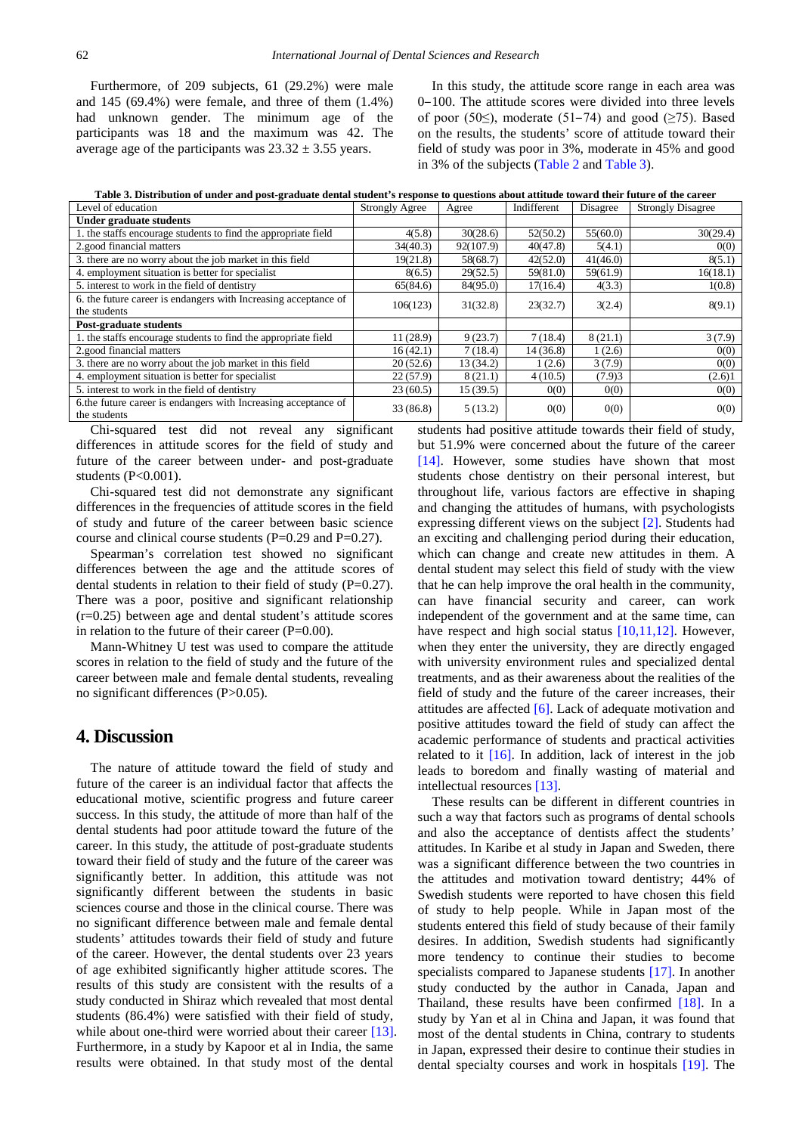Furthermore, of 209 subjects, 61 (29.2%) were male and 145 (69.4%) were female, and three of them (1.4%) had unknown gender. The minimum age of the participants was 18 and the maximum was 42. The average age of the participants was  $23.32 \pm 3.55$  years.

In this study, the attitude score range in each area was 0‒100. The attitude scores were divided into three levels of poor (50≤), moderate (51–74) and good ( $\geq$ 75). Based on the results, the students' score of attitude toward their field of study was poor in 3%, moderate in 45% and good in 3% of the subjects [\(Table 2](#page-1-1) and [Table 3\)](#page-2-0).

**Table 3. Distribution of under and post-graduate dental student's response to questions about attitude toward their future of the career**

<span id="page-2-0"></span>

| Level of education                                                              | <b>Strongly Agree</b> | Agree     | Indifferent | Disagree | <b>Strongly Disagree</b> |
|---------------------------------------------------------------------------------|-----------------------|-----------|-------------|----------|--------------------------|
| <b>Under graduate students</b>                                                  |                       |           |             |          |                          |
| 1. the staffs encourage students to find the appropriate field                  | 4(5.8)                | 30(28.6)  | 52(50.2)    | 55(60.0) | 30(29.4)                 |
| 2.good financial matters                                                        | 34(40.3)              | 92(107.9) | 40(47.8)    | 5(4.1)   | 0(0)                     |
| 3. there are no worry about the job market in this field                        | 19(21.8)              | 58(68.7)  | 42(52.0)    | 41(46.0) | 8(5.1)                   |
| 4. employment situation is better for specialist                                | 8(6.5)                | 29(52.5)  | 59(81.0)    | 59(61.9) | 16(18.1)                 |
| 5. interest to work in the field of dentistry                                   | 65(84.6)              | 84(95.0)  | 17(16.4)    | 4(3.3)   | 1(0.8)                   |
| 6. the future career is endangers with Increasing acceptance of                 | 106(123)              | 31(32.8)  | 23(32.7)    | 3(2.4)   | 8(9.1)                   |
| the students                                                                    |                       |           |             |          |                          |
| Post-graduate students                                                          |                       |           |             |          |                          |
| 1. the staffs encourage students to find the appropriate field                  | 11(28.9)              | 9(23.7)   | 7(18.4)     | 8(21.1)  | 3(7.9)                   |
| 2.good financial matters                                                        | 16(42.1)              | 7(18.4)   | 14(36.8)    | 1(2.6)   | 0(0)                     |
| 3. there are no worry about the job market in this field                        | 20(52.6)              | 13 (34.2) | 1(2.6)      | 3(7.9)   | 0(0)                     |
| 4. employment situation is better for specialist                                | 22(57.9)              | 8(21.1)   | 4(10.5)     | (7.9)3   | (2.6)1                   |
| 5. interest to work in the field of dentistry                                   | 23(60.5)              | 15(39.5)  | 0(0)        | 0(0)     | 0(0)                     |
| 6. the future career is endangers with Increasing acceptance of<br>the students | 33(86.8)              | 5(13.2)   | 0(0)        | 0(0)     | 0(0)                     |
|                                                                                 |                       |           |             |          |                          |

Chi-squared test did not reveal any significant differences in attitude scores for the field of study and future of the career between under- and post-graduate students (P<0.001).

Chi-squared test did not demonstrate any significant differences in the frequencies of attitude scores in the field of study and future of the career between basic science course and clinical course students (P=0.29 and P=0.27).

Spearman's correlation test showed no significant differences between the age and the attitude scores of dental students in relation to their field of study  $(P=0.27)$ . There was a poor, positive and significant relationship (r=0.25) between age and dental student's attitude scores in relation to the future of their career  $(P=0.00)$ .

Mann-Whitney U test was used to compare the attitude scores in relation to the field of study and the future of the career between male and female dental students, revealing no significant differences (P>0.05).

## **4. Discussion**

The nature of attitude toward the field of study and future of the career is an individual factor that affects the educational motive, scientific progress and future career success. In this study, the attitude of more than half of the dental students had poor attitude toward the future of the career. In this study, the attitude of post-graduate students toward their field of study and the future of the career was significantly better. In addition, this attitude was not significantly different between the students in basic sciences course and those in the clinical course. There was no significant difference between male and female dental students' attitudes towards their field of study and future of the career. However, the dental students over 23 years of age exhibited significantly higher attitude scores. The results of this study are consistent with the results of a study conducted in Shiraz which revealed that most dental students (86.4%) were satisfied with their field of study, while about one-third were worried about their career [\[13\].](#page-3-9) Furthermore, in a study by Kapoor et al in India, the same results were obtained. In that study most of the dental

students had positive attitude towards their field of study, but 51.9% were concerned about the future of the career [\[14\].](#page-3-11) However, some studies have shown that most students chose dentistry on their personal interest, but throughout life, various factors are effective in shaping and changing the attitudes of humans, with psychologists expressing different views on the subject [\[2\].](#page-3-1) Students had an exciting and challenging period during their education, which can change and create new attitudes in them. A dental student may select this field of study with the view that he can help improve the oral health in the community, can have financial security and career, can work independent of the government and at the same time, can have respect and high social status [\[10,11,12\].](#page-3-8) However, when they enter the university, they are directly engaged with university environment rules and specialized dental treatments, and as their awareness about the realities of the field of study and the future of the career increases, their attitudes are affected [\[6\].](#page-3-4) Lack of adequate motivation and positive attitudes toward the field of study can affect the academic performance of students and practical activities related to it [\[16\].](#page-3-13) In addition, lack of interest in the job leads to boredom and finally wasting of material and

These results can be different in different countries in such a way that factors such as programs of dental schools and also the acceptance of dentists affect the students' attitudes. In Karibe et al study in Japan and Sweden, there was a significant difference between the two countries in the attitudes and motivation toward dentistry; 44% of Swedish students were reported to have chosen this field of study to help people. While in Japan most of the students entered this field of study because of their family desires. In addition, Swedish students had significantly more tendency to continue their studies to become specialists compared to Japanese students [\[17\].](#page-3-14) In another study conducted by the author in Canada, Japan and Thailand, these results have been confirmed [\[18\].](#page-3-15) In a study by Yan et al in China and Japan, it was found that most of the dental students in China, contrary to students in Japan, expressed their desire to continue their studies in dental specialty courses and work in hospitals [\[19\].](#page-3-16) The

intellectual resources [\[13\].](#page-3-9)